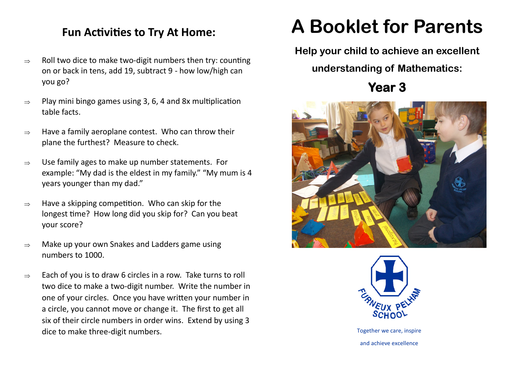## **Fun Activities to Try At Home:**

- $\Rightarrow$  Roll two dice to make two-digit numbers then try: counting on or back in tens, add 19, subtract 9 - how low/high can you go?
- $\Rightarrow$  Play mini bingo games using 3, 6, 4 and 8x multiplication table facts.
- $\Rightarrow$  Have a family aeroplane contest. Who can throw their plane the furthest? Measure to check.
- $\Rightarrow$  Use family ages to make up number statements. For example: "My dad is the eldest in my family." "My mum is 4 years younger than my dad."
- $\Rightarrow$  Have a skipping competition. Who can skip for the longest time? How long did you skip for? Can you beat your score?
- $\Rightarrow$  Make up your own Snakes and Ladders game using numbers to 1000.
- $\Rightarrow$  Each of you is to draw 6 circles in a row. Take turns to roll two dice to make a two-digit number. Write the number in one of your circles. Once you have written your number in a circle, you cannot move or change it. The first to get all six of their circle numbers in order wins. Extend by using 3 dice to make three-digit numbers.

## **A Booklet for Parents**

**Help your child to achieve an excellent** 

**understanding of Mathematics:**

**Year 3** 





Together we care, inspire and achieve excellence